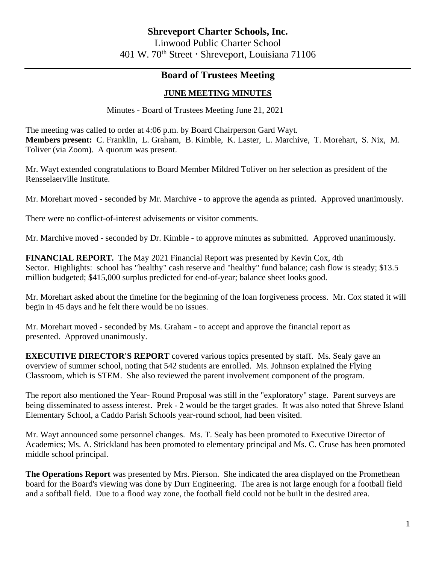## **Board of Trustees Meeting**

## **JUNE MEETING MINUTES**

Minutes - Board of Trustees Meeting June 21, 2021

The meeting was called to order at 4:06 p.m. by Board Chairperson Gard Wayt. **Members present:** C. Franklin, L. Graham, B. Kimble, K. Laster, L. Marchive, T. Morehart, S. Nix, M. Toliver (via Zoom). A quorum was present.

Mr. Wayt extended congratulations to Board Member Mildred Toliver on her selection as president of the Rensselaerville Institute.

Mr. Morehart moved - seconded by Mr. Marchive - to approve the agenda as printed. Approved unanimously.

There were no conflict-of-interest advisements or visitor comments.

Mr. Marchive moved - seconded by Dr. Kimble - to approve minutes as submitted. Approved unanimously.

**FINANCIAL REPORT.** The May 2021 Financial Report was presented by Kevin Cox, 4th Sector. Highlights: school has "healthy" cash reserve and "healthy" fund balance; cash flow is steady; \$13.5 million budgeted; \$415,000 surplus predicted for end-of-year; balance sheet looks good.

Mr. Morehart asked about the timeline for the beginning of the loan forgiveness process. Mr. Cox stated it will begin in 45 days and he felt there would be no issues.

Mr. Morehart moved - seconded by Ms. Graham - to accept and approve the financial report as presented. Approved unanimously.

**EXECUTIVE DIRECTOR'S REPORT** covered various topics presented by staff. Ms. Sealy gave an overview of summer school, noting that 542 students are enrolled. Ms. Johnson explained the Flying Classroom, which is STEM. She also reviewed the parent involvement component of the program.

The report also mentioned the Year- Round Proposal was still in the "exploratory" stage. Parent surveys are being disseminated to assess interest. Prek - 2 would be the target grades. It was also noted that Shreve Island Elementary School, a Caddo Parish Schools year-round school, had been visited.

Mr. Wayt announced some personnel changes. Ms. T. Sealy has been promoted to Executive Director of Academics; Ms. A. Strickland has been promoted to elementary principal and Ms. C. Cruse has been promoted middle school principal.

**The Operations Report** was presented by Mrs. Pierson. She indicated the area displayed on the Promethean board for the Board's viewing was done by Durr Engineering. The area is not large enough for a football field and a softball field. Due to a flood way zone, the football field could not be built in the desired area.